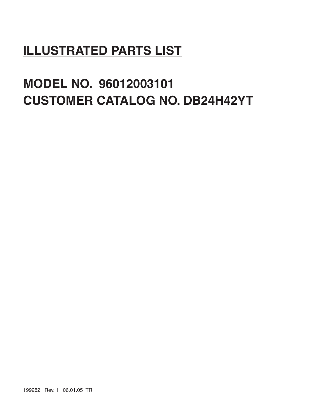# **ILLUSTRATED PARTS LIST**

# **MODEL NO. 96012003101 CUSTOMER CATALOG NO. DB24H42YT**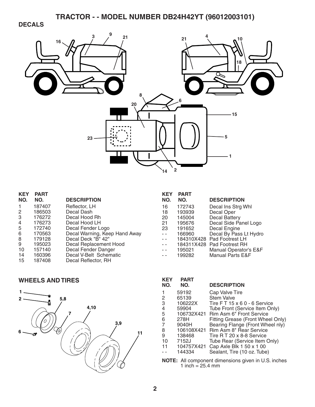### **DECALS**



**KEY PART** 

| <b>KEY</b>     | <b>PART</b> |                               |
|----------------|-------------|-------------------------------|
| NO.            | NO.         | <b>DESCRIPTION</b>            |
| -1             | 187407      | Reflector, LH                 |
| 2              | 186503      | Decal Dash                    |
| 3              | 176272      | Decal Hood Rh                 |
| $\overline{4}$ | 176273      | Decal Hood LH                 |
| 5              | 172740      | Decal Fender Logo             |
| 6              | 170563      | Decal Warning, Keep Hand Away |
| 8              | 179128      | Decal Deck "B" 42"            |
| 9              | 195023      | Decal Replacement Hood        |
| 10             | 157140      | Decal Fender Danger           |
| 14             | 160396      | Decal V-Belt Schematic        |
| 15             | 187408      | Decal Reflector, RH           |
|                |             |                               |

| eplacement Hood |  |
|-----------------|--|
| ender Danger    |  |
| Belt Schematic  |  |
| eflector, RH    |  |
|                 |  |

#### **WHEELS AND TIRES**



| NO.           | NO.        | <b>DESCRIPTION</b>          |
|---------------|------------|-----------------------------|
| 16            | 172743     | Decal Ins Strg Whl          |
| 18            | 193939     | Decal Oper                  |
| 20            | 145004     | <b>Decal Battery</b>        |
| 21            | 195676     | Decal Side Panel Logo       |
| 23            | 191652     | Decal Engine                |
| $\sim$ $\sim$ | 166960     | Decal By Pass Lt Hydro      |
|               |            | 184310X428 Pad Footrest LH  |
|               | 184311X428 | Pad Footrest RH             |
|               | 195021     | Manual Operator's E&F       |
|               | 199282     | <b>Manual Parts E&amp;F</b> |

| KEY<br>NO. | <b>PART</b><br>NO. | <b>DESCRIPTION</b>                 |
|------------|--------------------|------------------------------------|
|            | 59192              | Cap Valve Tire                     |
| 2          | 65139              | <b>Stem Valve</b>                  |
| 3          | 106222X            | Tire $FT 15 \times 60 - 6$ Service |
| 4          | 59904              | Tube Front (Service Item Only)     |
| 5          | 106732X421         | Rim Asm 6" Front Service           |
| 6          | 278H               | Fitting Grease (Front Wheel Only)  |
| 7          | 9040H              | Bearing Flange (Front Wheel nly)   |
| 8          | 106108X421         | Rim Asm 8" Rear Service            |
| 9          | 138468             | Tire R T 20 x 8-8 Service          |
| 10         | 7152J              | Tube Rear (Service Item Only)      |
| 11         | 104757X421         | Cap Axle Blk 1 50 x 1 00           |
|            | 144334             | Sealant, Tire (10 oz. Tube)        |
|            |                    |                                    |

**NOTE:** All component dimensions given in U.S. inches 1 inch  $= 25.4$  mm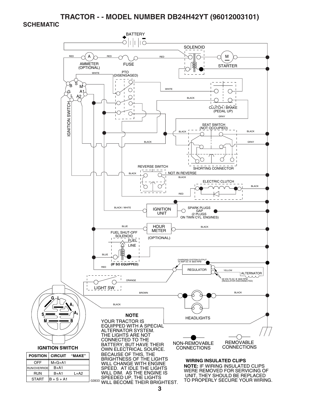#### **SCHEMATIC**

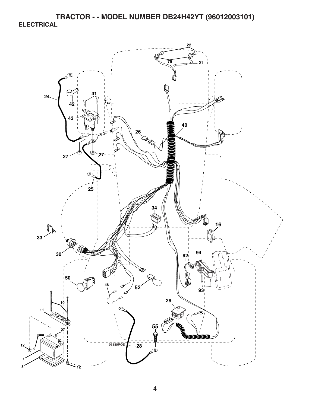**TRACTOR - - MODEL NUMBER DB24H42YT (96012003101) ELECTRICAL** 

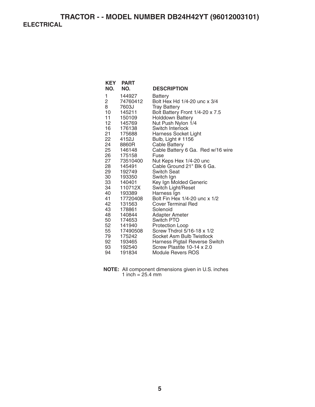## **TRACTOR - - MODEL NUMBER DB24H42YT (96012003101) ELECTRICAL**

| NO.             | <b>KEY PART</b><br>NO. | <b>DESCRIPTION</b>                               |
|-----------------|------------------------|--------------------------------------------------|
| 1               | 144927                 | Battery                                          |
| 2               | 74760412               | Bolt Hex Hd 1/4-20 unc x 3/4                     |
| 8               | 7603J                  | <b>Tray Battery</b>                              |
| 10              | 145211                 | Bolt Battery Front 1/4-20 x 7.5                  |
| 11              | 150109                 | <b>Holddown Battery</b>                          |
| 12 <sub>2</sub> | 145769                 | Nut Push Nylon 1/4                               |
| 16              | 176138                 | Switch Interlock                                 |
| 21              | 175688                 | Harness Socket Light                             |
| 22              | 4152J                  | Bulb, Light # 1156                               |
| 24              | 8860R                  | <b>Cable Battery</b>                             |
| 25              | 146148                 | Cable Battery 6 Ga. Red w/16 wire                |
| 26 —            | 175158                 | Fuse                                             |
| 27              | 73510400               | Nut Keps Hex 1/4-20 unc                          |
| 28              | 145491                 | Cable Ground 21" Blk 6 Ga.<br><b>Switch Seat</b> |
| 29<br>30        | 192749<br>193350       |                                                  |
| 33              | 140401                 | Switch Ign<br>Key Ign Molded Generic             |
| 34              | 110712X                | Switch Light/Reset                               |
| 40              | 193389                 | Harness Ign                                      |
| 41              | 17720408               | Bolt Fin Hex 1/4-20 unc x 1/2                    |
| 42              | 131563                 | <b>Cover Terminal Red</b>                        |
| 43              | 178861                 | Solenoid                                         |
| 48              | 140844                 | Adapter Ameter                                   |
| 50              | 174653                 | Switch PTO                                       |
| 52              | 141940                 | Protection Loop                                  |
| 55              | 17490508               | Screw Thdrol 5/16-18 x 1/2                       |
| 79              | 175242                 | Socket Asm Bulb Twistlock                        |
| 92              | 193465                 | Harness Pigtail Reverse Switch                   |
| 93              | 192540                 | Screw Plastite 10-14 x 2.0                       |
| 94              | 191834                 | Module Revers ROS                                |

**NOTE:** All component dimensions given in U.S. inches 1 inch = 25.4 mm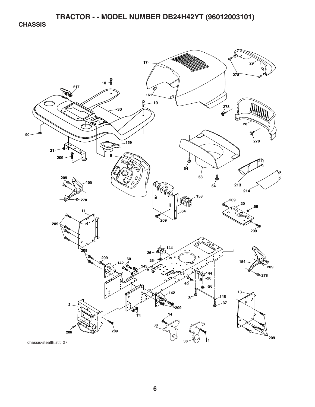**CHASSIS** 

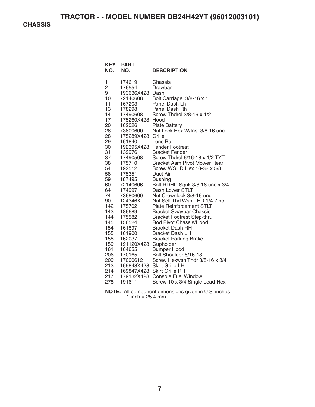**CHASSIS** 

| <b>KEY</b><br>NO.                                                                                                                                                                                                                                          | <b>PART</b><br>NO.                                                                                                                                                                                                                                                                                                                                                                                                                       | <b>DESCRIPTION</b>                                                                                                                                                                                                                                                                                                                                                                                                                                                                                                                                                                                                                                                                                                                                                                                                                                                                                                                                |
|------------------------------------------------------------------------------------------------------------------------------------------------------------------------------------------------------------------------------------------------------------|------------------------------------------------------------------------------------------------------------------------------------------------------------------------------------------------------------------------------------------------------------------------------------------------------------------------------------------------------------------------------------------------------------------------------------------|---------------------------------------------------------------------------------------------------------------------------------------------------------------------------------------------------------------------------------------------------------------------------------------------------------------------------------------------------------------------------------------------------------------------------------------------------------------------------------------------------------------------------------------------------------------------------------------------------------------------------------------------------------------------------------------------------------------------------------------------------------------------------------------------------------------------------------------------------------------------------------------------------------------------------------------------------|
| 1<br>2<br>9<br>10<br>11<br>13<br>14<br>17<br>20<br>26<br>28<br>29<br>30<br>31<br>37<br>38<br>54<br>58<br>59<br>60<br>64<br>74<br>90<br>142<br>143<br>144<br>145<br>154<br>155<br>158<br>159<br>161<br>206<br>209<br>$\frac{213}{214}$<br>214<br>217<br>278 | 174619<br>176554<br>193636X428 Dash<br>72140608<br>167203<br>178298<br>17490608<br>175260X428<br>162026<br>73800600<br>175289X428<br>161840<br>139976<br>17490508<br>175710<br>192512<br>175351<br>187495<br>72140606<br>174997<br>73680600<br>124346X<br>175702<br>186689<br>175582<br>156524<br>161897<br>161900<br>162037<br>191120X428 Cupholder<br>164655<br>170165<br>17000612<br>169848X428<br>169847X428<br>179132X428<br>191611 | Chassis<br>Drawbar<br>Bolt Carriage 3/8-16 x 1<br>Panel Dash Lh<br>Panel Dash Rh<br>Screw Thdrol 3/8-16 x 1/2<br>Hood<br><b>Plate Battery</b><br>Nut Lock Hex W/Ins 3/8-16 unc<br>Grille<br>Lens Bar<br>192395X428 Fender Footrest<br><b>Bracket Fender</b><br>Screw Thdrol 6/16-18 x 1/2 TYT<br><b>Bracket Asm Pivot Mower Rear</b><br>Screw WSHD Hex 10-32 x 5/8<br>Duct Air<br><b>Bushing</b><br>Bolt RDHD Sqnk 3/8-16 unc x 3/4<br>Dash Lower STLT<br>Nut Crownlock 3/8-16 unc<br>Nut Self Thd Wsh - HD 1/4 Zinc<br><b>Plate Reinforcement STLT</b><br><b>Bracket Swaybar Chassis</b><br><b>Bracket Footrest Step-thru</b><br>Rod Pivot Chassis/Hood<br><b>Bracket Dash RH</b><br><b>Bracket Dash LH</b><br><b>Bracket Parking Brake</b><br><b>Bumper Hood</b><br>Bolt Shoulder 5/16-18<br>Screw Hexwsh Thdr 3/8-16 x 3/4<br><b>Skirt Grille LH</b><br><b>Skirt Grille RH</b><br><b>Console Fuel Window</b><br>Screw 10 x 3/4 Single Lead-Hex |

**NOTE:** All component dimensions given in U.S. inches 1 inch  $= 25.4$  mm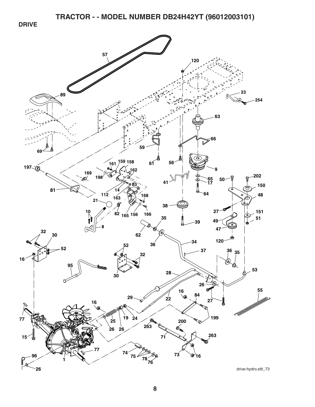**DRIVE** 

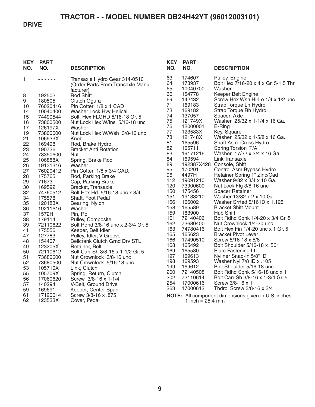#### **DRIVE**

| .                                                                                                                                                                                                                                                                                                                                                                                                                                                                                                                                                                                                                                                                                                                                                                                                                                                                                                                                                                      | 63                                                                                                                                              |                                                                                                                                                                                                                                                                    |                                                                                                                                                                                                                                                                                                                                                                                                                                                                                                                                                                                                                                                                                     |
|------------------------------------------------------------------------------------------------------------------------------------------------------------------------------------------------------------------------------------------------------------------------------------------------------------------------------------------------------------------------------------------------------------------------------------------------------------------------------------------------------------------------------------------------------------------------------------------------------------------------------------------------------------------------------------------------------------------------------------------------------------------------------------------------------------------------------------------------------------------------------------------------------------------------------------------------------------------------|-------------------------------------------------------------------------------------------------------------------------------------------------|--------------------------------------------------------------------------------------------------------------------------------------------------------------------------------------------------------------------------------------------------------------------|-------------------------------------------------------------------------------------------------------------------------------------------------------------------------------------------------------------------------------------------------------------------------------------------------------------------------------------------------------------------------------------------------------------------------------------------------------------------------------------------------------------------------------------------------------------------------------------------------------------------------------------------------------------------------------------|
| 1<br>Transaxle Hydro Gear 314-0510<br>(Order Parts From Transaxle Manu-<br>facturer)<br>192502<br><b>Rod Shift</b><br>8<br>9<br>180505<br>Clutch Ogura<br>10<br>Pin Cotter 1/8 x 1 CAD<br>76020416<br>14<br>10040400<br>Washer Lock Hvy Helical<br>15<br>74490544<br>Bolt, Hex FLGHD 5/16-18 Gr. 5<br>16<br>73800500<br>Nut Lock Hex W/Ins 5/16-18 unc<br>17<br>Washer<br>126197X<br>19<br>73800600<br>Nut Lock Hex W/Wsh 3/8-16 unc<br>21<br>106933X<br>Knob<br>22<br>169498<br>Rod, Brake Hydro<br>23<br>190736<br><b>Bracket Anti Rotation</b><br>24<br>73350600<br>Nut<br>25<br>106888X<br>Spring, Brake Rod<br>26<br>Washer<br>19131316<br>27<br>76020412<br>Pin Cotter 1/8 x 3/4 CAD.<br>28<br>175765<br>Rod, Parking Brake                                                                                                                                                                                                                                      | 64<br>65<br>66<br>69<br>71<br>73<br>74<br>75<br>76<br>77<br>78<br>81<br>82<br>83<br>84<br>89<br>95<br>96                                        | 174607<br>173937<br>10040700<br>154778<br>142432<br>169183<br>169182<br>137057<br>121749X<br>12000001<br>123583X<br>121748X<br>165596<br>165711<br>19171216<br>169594<br>170201<br>4497H                                                                           | Pulley, Engine<br>Bolt Hex 7/16-20 x 4 x Gr. 5-1.5 Thr<br>Washer<br>Keeper Belt Engine<br>Screw Hex Wsh Hi-Lo 1/4 x 1/2 und<br>Strap Torque Lh Hydro<br>Strap Torque Rh Hydro<br>Spacer, Axle<br>Washer 25/32 x 1-1/4 x 16 Ga.<br>E-Ring<br>Key, Square<br>Washer 25/32 x 1-5/8 x 16 Ga.<br>Shaft Asm. Cross Hydro<br>Spring Torsion T/A<br>Washer 17/32 x 3/4 x 16 Ga.<br>Link Transaxle<br>192387X428 Console, Shift<br>Control Asm Bypass Hydro<br>Retainer Spring 1" Zinc/Cad                                                                                                                                                                                                   |
| 29<br>71673<br>Cap, Parking Brake<br>30<br>169592<br>Bracket, Transaxle<br>32<br>74760512<br>Bolt Hex Hd 5/16-18 unc x 3/4<br>34<br>175578<br>Shaft, Foot Pedal<br>35<br>120183X<br>Bearing, Nylon<br>36<br>19211616<br>Washer<br>37<br>1572H<br>Pin, Roll<br>38<br>179114<br>Pulley, Composite<br>39<br>Bolt Rdhd 3/8-16 unc x 2-3/4 Gr. 5<br>72110622<br>41<br>175556<br>Keeper, Belt Idler<br>47<br>127783<br>Pulley, Idler, V-Groove<br>48<br>154407<br><b>Bellcrank Clutch Grnd Drv STL</b><br>49<br>123205X<br>Retainer, Belt<br>50<br>Bolt Carr Sh 3/8-16 x 1-1/2 Gr. 5<br>72110612<br>51<br>73680600<br>Nut Crownlock 3/8-16 unc<br>52<br>73680500<br>Nut Crownlock 5/16-18 unc<br>53<br>105710X<br>Link, Clutch<br>55<br>105709X<br>Spring, Return, Clutch<br>56<br>17060620<br>Screw 3/8-16 x 1-1/4<br>57<br>140294<br>V-Belt, Ground Drive<br>59<br>169691<br>Keeper, Center Span<br>61<br>17120614<br>Screw 3/8-16 x .875<br>62<br>123533X<br>Cover, Pedal | 112<br>120<br>150<br>151<br>156<br>158<br>159<br>161<br>162<br>163<br>165<br>166<br>168<br>169<br>197<br>198<br>199<br>200<br>202<br>254<br>263 | 19091210<br>73900600<br>175456<br>19133210<br>166002<br>165589<br>183900<br>72140406<br>73680400<br>74780416<br>165623<br>17490510<br>165492<br>165580<br>169613<br>169593<br>169612<br>72140508<br>72110614<br>17000616<br>17000612<br>1 inch = $25.4 \text{ mm}$ | Washer 9/32 x 3/4 x 10 Ga.<br>Nut Lock Flg 3/8-16 unc<br><b>Spacer Retainer</b><br>Washer 13/32 x 2 x 10 Ga.<br>Washer Srrted 5/16 ID x 1.125<br><b>Bracket Shift Mount</b><br>Hub Shift<br>Bolt Rdhd Sqnk 1/4-20 x 3/4 Gr. 5<br>Nut Crownlock 1/4-20 unc<br>Bolt Hex Fin 1/4-20 unc x 1 Gr. 5<br><b>Bracket Pivot Lever</b><br>Screw 5/16-18 x 5/8<br>Bolt Shoulder 5/16-18 x .561<br>Plate Fastening Lt<br>Nyliner Snap-In 5/8" ID<br>Washer Nyl 7/8 ID x .105<br>Bolt Shoulder 5/16-18 unc<br>Bolt Rdhd Sqnk 5/16-18 unc x 1<br>Bolt Carr Sh 3/8-16 x 1-3/4 Gr. 5<br>Screw 3/8-16 x 1<br>Thdrol Screw 3/8-16 x 3/4<br><b>NOTE:</b> All component dimensions given in U.S. inches |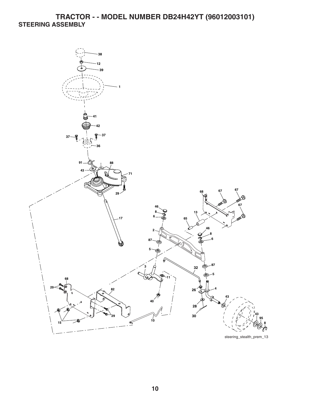## **TRACTOR - - MODEL NUMBER DB24H42YT (96012003101) STEERING ASSEMBLY**



steering\_stealth\_prem\_13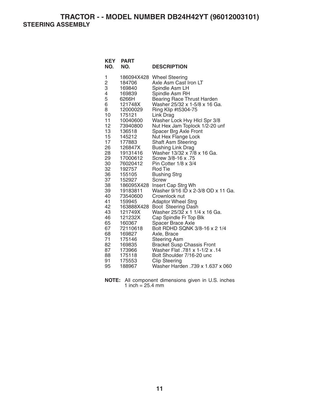**TRACTOR - - MODEL NUMBER DB24H42YT (96012003101) STEERING ASSEMBLY** 

| <b>KEY</b><br>NO.                                                                                                                                                                                             | <b>PART</b><br>NO.                                                                                                                                                                                                                                                                                                                                                                                    | <b>DESCRIPTION</b>                                                                                                                                                                                                                                                                                                                                                                                                                                                                                                                                                                                                                                                                                                                                                                                                                                                                                                                                                   |
|---------------------------------------------------------------------------------------------------------------------------------------------------------------------------------------------------------------|-------------------------------------------------------------------------------------------------------------------------------------------------------------------------------------------------------------------------------------------------------------------------------------------------------------------------------------------------------------------------------------------------------|----------------------------------------------------------------------------------------------------------------------------------------------------------------------------------------------------------------------------------------------------------------------------------------------------------------------------------------------------------------------------------------------------------------------------------------------------------------------------------------------------------------------------------------------------------------------------------------------------------------------------------------------------------------------------------------------------------------------------------------------------------------------------------------------------------------------------------------------------------------------------------------------------------------------------------------------------------------------|
| 1<br>2<br>3<br>4<br>5<br>6<br>8<br>10<br>11<br>12<br>13<br>15<br>17<br>26<br>28<br>29<br>30<br>32<br>36<br>37<br>38<br>39<br>40<br>41<br>42<br>43<br>46<br>65<br>67<br>68<br>71<br>82<br>87<br>88<br>91<br>95 | 186094X428<br>184706<br>169840<br>169839<br>6266H<br>121748X<br>12000029<br>175121<br>10040600<br>73940800<br>136518<br>145212<br>177883<br>126847X<br>19131416<br>17000612<br>76020412<br>192757<br>155105<br>152927<br>186095X428<br>19183811<br>73540600<br>159945<br>163888X428<br>121749X<br>121232X<br>160367<br>72110618<br>169827<br>175146<br>169835<br>173966<br>175118<br>175553<br>188967 | <b>Wheel Steering</b><br>Axle Asm Cast Iron LT<br>Spindle Asm LH<br>Spindle Asm RH<br><b>Bearing Race Thrust Harden</b><br>Washer 25/32 x 1-5/8 x 16 Ga.<br>Ring Klip #t5304-75<br>Link Drag<br>Washer Lock Hvy Hlcl Spr 3/8<br>Nut Hex Jam Toplock 1/2-20 unf<br>Spacer Brg Axle Front<br>Nut Hex Flange Lock<br><b>Shaft Asm Steering</b><br><b>Bushing Link Drag</b><br>Washer 13/32 x 7/8 x 16 Ga.<br>Screw 3/8-16 x .75<br>Pin Cotter $1/8 \times 3/4$<br>Rod Tie<br><b>Bushing Strg</b><br>Screw<br>Insert Cap Strg Wh<br>Washer 9/16 ID x 2-3/8 OD x 11 Ga.<br>Crownlock nut<br><b>Adaptor Wheel Strg</b><br>Boot Steering Dash<br>Washer 25/32 x 1 1/4 x 16 Ga.<br>Cap Spindle Fr Top Blk<br><b>Spacer Brace Axle</b><br>Bolt RDHD SQNK 3/8-16 x 2 1/4<br>Axle, Brace<br><b>Steering Asm</b><br><b>Bracket Susp Chassis Front</b><br>Washer Flat .781 x 1-1/2 x .14<br>Bolt Shoulder 7/16-20 unc<br><b>Clip Steering</b><br>Washer Harden .739 x 1.637 x 060 |

**NOTE:** All component dimensions given in U.S. inches 1 inch =  $25.4 \, \text{mm}$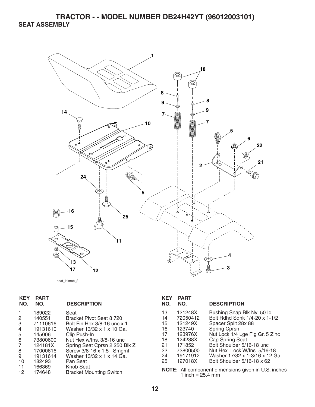

seat\_lt.knob\_2

| <b>KEY</b><br>NO. | <b>PART</b><br>NO. | <b>DESCRIPTION</b>                          | <b>KEY</b><br>NO. | <b>PART</b><br>NO.                                           | <b>DESCI</b>   |
|-------------------|--------------------|---------------------------------------------|-------------------|--------------------------------------------------------------|----------------|
|                   | 189022             | Seat                                        | 13                | 121248X                                                      | <b>Bushin</b>  |
| 2                 | 140551             | Bracket Pivot Seat 8 720                    | 14                | 72050412                                                     | <b>Bolt Ro</b> |
| 3                 | 71110616           | Bolt Fin Hex 3/8-16 unc x 1                 | 15                | 121249X                                                      | Space          |
| 4                 | 19131610           | Washer 13/32 x 1 x 10 Ga.                   | 16                | 123740                                                       | Spring         |
| 5                 | 145006             | Clip Push-In                                | 17                | 123976X                                                      | Nut Lo         |
| 6                 | 73800600           | Nut Hex w/Ins. 3/8-16 unc                   | 18                | 124238X                                                      | Cap S          |
| 7                 | 124181X            | Spring Seat Cprsn 2 250 Blk Zi              | 21                | 171852                                                       | <b>Bolt Sh</b> |
| 8                 | 17000616           | Screw 3/8-16 x 1.5 Smgml                    | 22                | 73800500                                                     | Nut He         |
| 9                 | 19131614           | Washer 13/32 x 1 x 14 Ga.                   | 24                | 19171912                                                     | Washe          |
| 10                | 182493             | Pan Seat                                    | 25                | 127018X                                                      | <b>Bolt Sh</b> |
| 11<br>12          | 166369<br>174648   | Knob Seat<br><b>Bracket Mounting Switch</b> |                   | <b>NOTE:</b> All component dime<br>1 inch $-$ 25 $\Delta$ mm |                |

| KEY<br>NO. | <b>PART</b><br>NO.  | <b>DESCRIPTION</b>                                          |
|------------|---------------------|-------------------------------------------------------------|
| 13<br>14   | 121248X<br>72050412 | Bushing Snap Blk Nyl 50 Id<br>Bolt Rdhd Sqnk 1/4-20 x 1-1/2 |
| 15         | 121249X             | Spacer Split 28x 88                                         |
| 16         | 123740              | Spring Cprsn                                                |
| 17         | 123976X             | Nut Lock 1/4 Lge Flg Gr. 5 Zinc                             |
| 18         | 124238X             | <b>Cap Spring Seat</b>                                      |
| 21         | 171852              | Bolt Shoulder 5/16-18 unc                                   |
| 22         | 73800500            | Nut Hex Lock W/Ins 5/16-18                                  |
| 24         | 19171912            | Washer 17/32 x 1-3/16 x 12 Ga.                              |
| 25         | 127018X             | Bolt Shoulder 5/16-18 x 62                                  |

ensions given in U.S. inches 1 inch  $= 25.4$  mm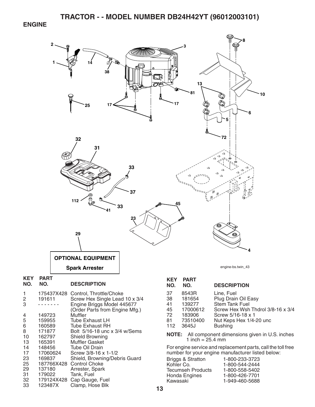#### **ENGINE**



Clamp, Hose Blk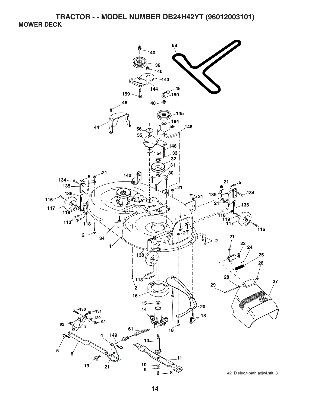**TRACTOR - - MODEL NUMBER DB24H42YT (96012003101) MOWER DECK** 

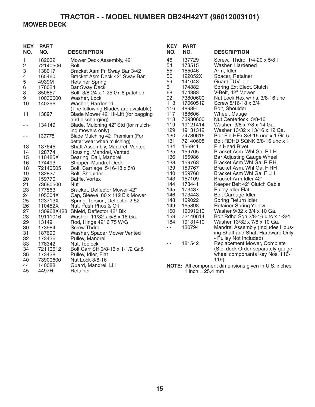## **TRACTOR - - MODEL NUMBER DB24H42YT (96012003101) MOWER DECK**

| <b>KEY</b><br>NO. | <b>PART</b><br>NO. | <b>DESCRIPTION</b>                   | <b>KEY</b><br>NO. | <b>PART</b><br>NO. | <b>DESCRIPTION</b>                                  |
|-------------------|--------------------|--------------------------------------|-------------------|--------------------|-----------------------------------------------------|
| 1                 | 182032             | Mower Deck Assembly, 42"             | 46                | 137729             | Screw, Thdrol 1/4-20 x 5/8 T                        |
| 2                 | 72140506           | <b>Bolt</b>                          | 54                | 178515             | Washer, Hardened                                    |
| 3                 | 138017             | Bracket Asm Fr. Sway Bar 3/42        | 55                | 155046             | Arm, Idler                                          |
| 4                 | 165460             | Bracket Asm Deck 42" Sway Bar        | 56                | 122052X            | Spacer, Retainer                                    |
| 5                 | 4939M              | <b>Retainer Spring</b>               | 59                | 141043             | <b>Guard TUV Idler</b>                              |
| $\,6\,$           | 178024             | <b>Bar Sway Deck</b>                 | 61                | 174882             | Spring Ext Elect. Clutch                            |
| 8                 | 850857             | Bolt 3/8-24 x 1.25 Gr. 8 patched     | 68                | 174883             | V-Belt, 42" Mower                                   |
| 9                 | 10030600           | Washer, Lock                         | 92                | 73800600           | Nut Lock Hex w/Ins. 3/8-16 unc                      |
| 10                | 140296             | Washer, Hardened                     | 113               | 17060512           | Screw 5/16-18 x 3/4                                 |
|                   |                    | (The following Blades are available) | 116               | 4898H              | Bolt, Shoulder                                      |
| 11                | 138971             | Blade Mower 42" Hi-Lift (for bagging | 117               | 188606             | Wheel, Gauge                                        |
|                   |                    | and discharging)                     | 118               | 73930600           | Nut Centerlock 3/8-16                               |
| - -               | 134149             | Blade, Mulching 42" Std (for mulch-  | 119               | 19121414           | Washer 3/8 x 7/8 x 14 Ga.                           |
|                   |                    | ing mowers only)                     | 129               | 19131312           | Washer 13/32 x 13/16 x 12 Ga.                       |
| $\sim$ $\sim$     | 139775             | Blade Mulching 42" Premium (For      | 130               | 74780616           | Bolt Fin HEx 3/8-16 unc x 1 Gr. 5                   |
|                   |                    | better wear when mulching)           | 131               | 72140608           | Bolt RDHD SQNK 3/8-16 unc x 1                       |
| 13                | 137645             | Shaft Assembly, Mandrel, Vented      | 134               | 156941             | <b>Pin Head Rivet</b>                               |
| 14                | 128774             | Housing, Mandrel, Vented             | 135               | 159765             | Bracket Asm. Whl Ga. R LH                           |
| 15                | 110485X            | Bearing, Ball, Mandrel               | 136               | 155986             | Bar Adjusting Gauge Wheel                           |
| 16                | 174493             | Stripper, Mandrel Deck               | 138               | 159763             | Bracket Asm Whl Ga. R RH                            |
| 18                | 72140505           | Bolt, Carriage 5/16-18 x 5/8         | 139               | 159767             | Bracket Asm. Whl Ga. F RH                           |
| 19                | 132827             | Bolt, Shoulder                       | 140               | 159768             | Bracket Asm Whi Ga. F LH                            |
| 20                | 159770             | Baffle, Vortex                       | 143               | 157109             | Bracket Arm Idler 42"                               |
| 21                | 73680500           | Nut                                  | 144               | 173441             | Keeper Belt 42" Clutch Cable                        |
| 23                | 177563             | Bracket, Deflector Mower 42"         | 145               | 173437             | Pulley Idler Flat                                   |
| 24                | 105304X            | Cap, Sleeve 80 x 112 Blk Mower       | 146               | 173443             | <b>Bolt Carriage Idler</b>                          |
| 25                | 123713X            | Spring, Torsion, Deflector 2 52      | 148               | 169022             | Spring Return Idler                                 |
| 26                | 110452X            | Nut, Push Phos & Oil                 | 149               | 165898             | Retainer Spring Yellow                              |
| 27                |                    | 130968X428 Shield, Deflector 42" Blk | 150               | 19091210           | Washer 9/32 x 3/4 x 10 Ga.                          |
| 28                | 19111016           | Washer 11/32 x 5/8 x 16 Ga.          | 159               | 72140614           | Bolt Rdhd Sqn 3/8-16 unc x 1-3/4                    |
| 29                | 131491             | Rod, Hinge 42" 6 75 W/G              | 184               | 19131410           | Washer 13/32 x 7/8 x 10 Ga.                         |
| 30                | 173984             | <b>Screw Thdrol</b>                  | $\sim$ $\sim$     | 130794             | Mandrel Assembly (Includes Hous-                    |
| 31                | 187690             | Washer, Spacer Mower Vented          |                   |                    | ing Shaft and Shaft Hardware Only                   |
| 32                | 173436             | Pulley, Mandrel                      |                   |                    | - Pulley Not Included)                              |
| 33                | 178342             | Nut, Toplock                         | - -               | 181542             | Replacement Mower, Complete                         |
| 34                | 72110612           | Bolt Carr SH 3/8-16 x 1-1/2 Gr.5     |                   |                    | (Std. deck Order separately gauge                   |
| 36                | 173438             | Pulley, Idler, Flat                  |                   |                    | wheel componants Key Nos. 116-                      |
| 40                | 73900600           | Nut Lock 3/8-16                      |                   |                    | 119)                                                |
| 44                | 140088             | Guard, Mandrel, LH                   |                   |                    | NOTE: All component dimensions given in U.S. inches |
| 45                | 4497H              | Retainer                             |                   | 1 inch = $25.4$ mm |                                                     |